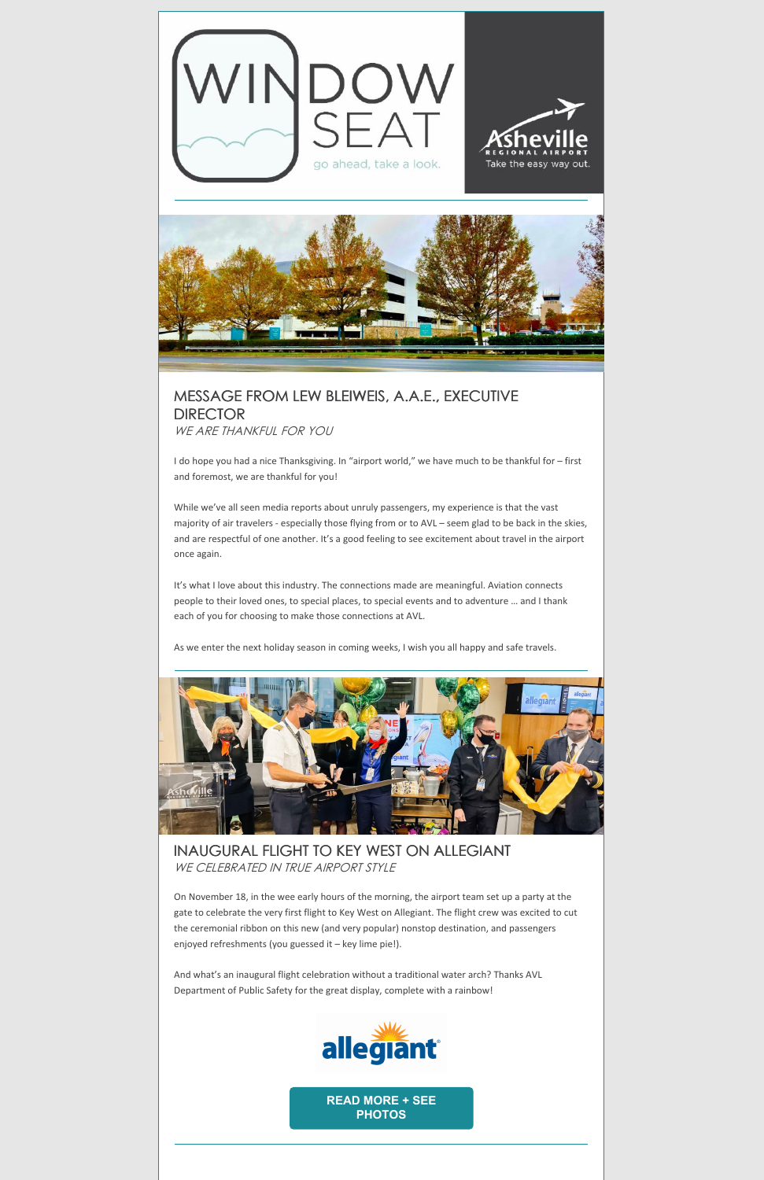



# MESSAGE FROM LEW BLEIWEIS, A.A.E., EXECUTIVE **DIRECTOR** WE ARE THANKFUL FOR YOU

I do hope you had a nice Thanksgiving. In "airport world," we have much to be thankful for – first and foremost, we are thankful for you!

While we've all seen media reports about unruly passengers, my experience is that the vast majority of air travelers - especially those flying from or to AVL – seem glad to be back in the skies, and are respectful of one another. It's a good feeling to see excitement about travel in the airport once again.

It's what I love about this industry. The connections made are meaningful. Aviation connects people to their loved ones, to special places, to special events and to adventure … and I thank each of you for choosing to make those connections at AVL.

As we enter the next holiday season in coming weeks, I wish you all happy and safe travels.



INAUGURAL FLIGHT TO KEY WEST ON ALLEGIANT

WE CELEBRATED IN TRUE AIRPORT STYLE

On November 18, in the wee early hours of the morning, the airport team set up a party at the gate to celebrate the very first flight to Key West on Allegiant. The flight crew was excited to cut the ceremonial ribbon on this new (and very popular) nonstop destination, and passengers enjoyed refreshments (you guessed it – key lime pie!).

And what's an inaugural flight celebration without a traditional water arch? Thanks AVL Department of Public Safety for the great display, complete with a rainbow!



**READ MORE + SEE [PHOTOS](https://flyavl.com/article/allegiant-begins-new-nonstop-service-key-west)**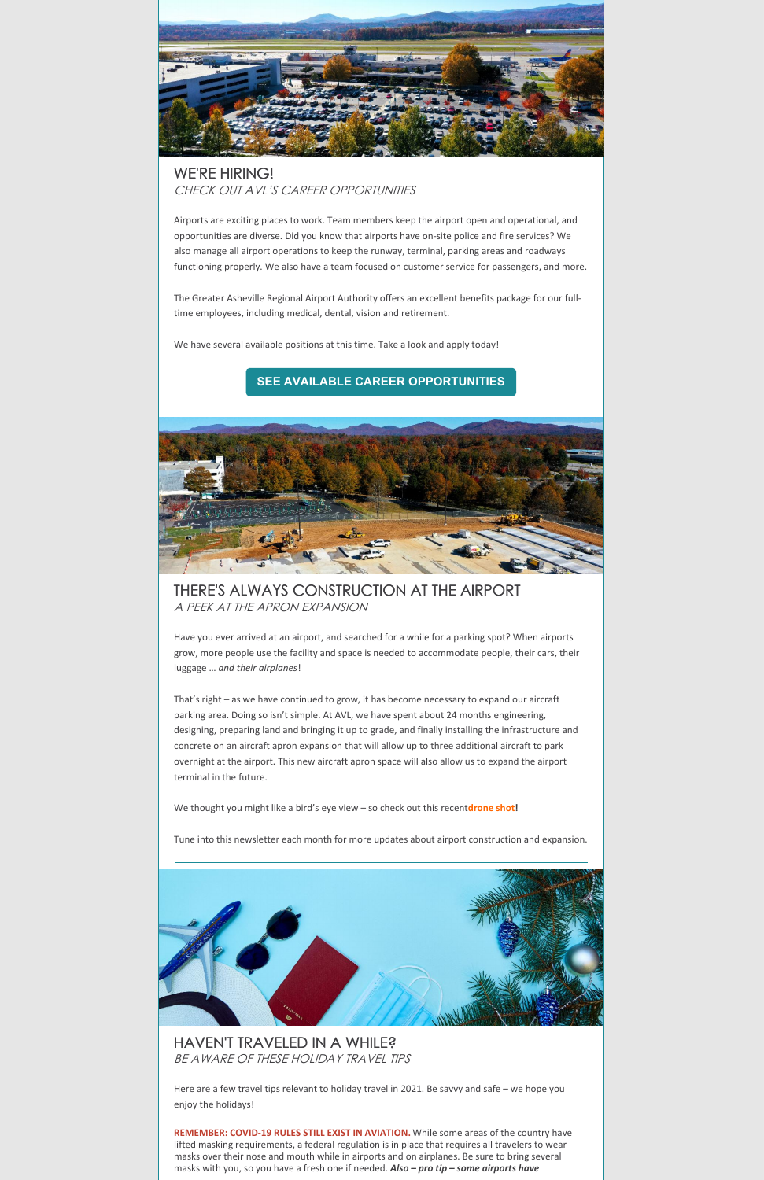

# WE'RE HIRING! CHECK OUT AVL'S CAREER OPPORTUNITIES

Airports are exciting places to work. Team members keep the airport open and operational, and opportunities are diverse. Did you know that airports have on-site police and fire services? We also manage all airport operations to keep the runway, terminal, parking areas and roadways functioning properly. We also have a team focused on customer service for passengers, and more.

The Greater Asheville Regional Airport Authority offers an excellent benefits package for our fulltime employees, including medical, dental, vision and retirement.

We have several available positions at this time. Take a look and apply today!

### **SEE AVAILABLE CAREER [OPPORTUNITIES](https://flyavl.com/careers)**

THERE'S ALWAYS CONSTRUCTION AT THE AIRPORT A PEEK AT THE APRON EXPANSION

Have you ever arrived at an airport, and searched for a while for a parking spot? When airports grow, more people use the facility and space is needed to accommodate people, their cars, their luggage … *and their airplanes*!

That's right – as we have continued to grow, it has become necessary to expand our aircraft parking area. Doing so isn't simple. At AVL, we have spent about 24 months engineering, designing, preparing land and bringing it up to grade, and finally installing the infrastructure and concrete on an aircraft apron expansion that will allow up to three additional aircraft to park overnight at the airport. This new aircraft apron space will also allow us to expand the airport terminal in the future.

We thought you might like a bird's eye view – so check out this recent**[drone](https://files.constantcontact.com/01823a22101/4c8aa1a6-8d52-48b9-a635-b74fc9c84945.pdf) shot!**

Tune into this newsletter each month for more updates about airport construction and expansion.



### HAVEN'T TRAVELED IN A WHILE? BE AWARE OF THESE HOLIDAY TRAVEL TIPS

Here are a few travel tips relevant to holiday travel in 2021. Be savvy and safe – we hope you enjoy the holidays!

**REMEMBER: COVID-19 RULES STILL EXIST IN AVIATION.** While some areas of the country have lifted masking requirements, a federal regulation is in place that requires all travelers to wear masks over their nose and mouth while in airports and on airplanes. Be sure to bring several masks with you, so you have a fresh one if needed. *Also – pro tip – some airports have*